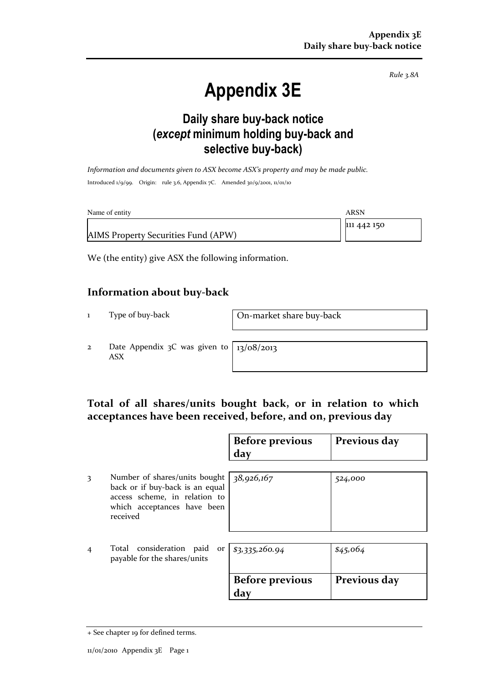Rule 3.8A

# Appendix 3E

### Daily share buy-back notice (except minimum holding buy-back and selective buy-back)

Information and documents given to ASX become ASX's property and may be made public. Introduced 1/9/99. Origin: rule 3.6, Appendix 7C. Amended 30/9/2001, 11/01/10

| Name of entity                      | ARSN        |
|-------------------------------------|-------------|
|                                     | 111 442 150 |
| AIMS Property Securities Fund (APW) |             |

We (the entity) give ASX the following information.

#### Information about buy-back

1 Type of buy-back On-market share buy-back

2 Date Appendix 3C was given to ASX

13/08/2013

#### Total of all shares/units bought back, or in relation to which acceptances have been received, before, and on, previous day

|   |                                                                                                                                              | <b>Before previous</b><br>day | Previous day |
|---|----------------------------------------------------------------------------------------------------------------------------------------------|-------------------------------|--------------|
| 3 | Number of shares/units bought<br>back or if buy-back is an equal<br>access scheme, in relation to<br>which acceptances have been<br>received | 38,926,167                    | 524,000      |
| 4 | Total consideration paid<br>payable for the shares/units                                                                                     | or $$3,335,260.94$            | \$45,064     |
|   |                                                                                                                                              | <b>Before previous</b><br>day | Previous day |

<sup>+</sup> See chapter 19 for defined terms.